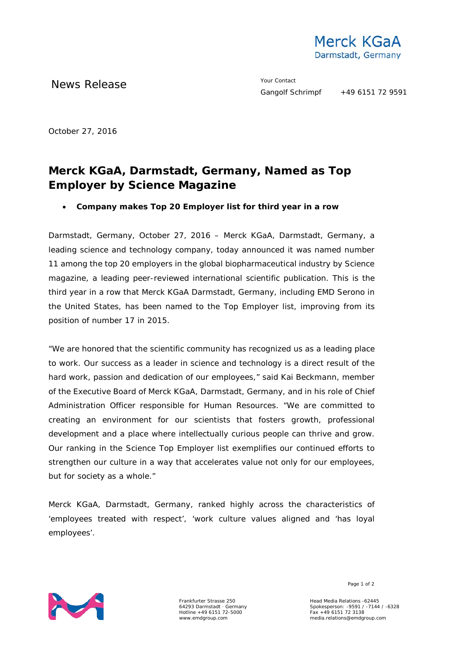

News Release The Merry Contact The Merry Contact

October 27, 2016

## **Merck KGaA, Darmstadt, Germany, Named as Top Employer by Science Magazine**

• **Company makes Top 20 Employer list for third year in a row**

Darmstadt, Germany, October 27, 2016 – Merck KGaA, Darmstadt, Germany, a leading science and technology company, today announced it was named number 11 among the top 20 employers in the global biopharmaceutical industry by *Science* magazine, a leading peer-reviewed international scientific publication. This is the third year in a row that Merck KGaA Darmstadt, Germany, including EMD Serono in the United States, has been named to the Top Employer list, improving from its position of number 17 in 2015.

"We are honored that the scientific community has recognized us as a leading place to work. Our success as a leader in science and technology is a direct result of the hard work, passion and dedication of our employees," said Kai Beckmann, member of the Executive Board of Merck KGaA, Darmstadt, Germany, and in his role of Chief Administration Officer responsible for Human Resources. "We are committed to creating an environment for our scientists that fosters growth, professional development and a place where intellectually curious people can thrive and grow. Our ranking in the Science Top Employer list exemplifies our continued efforts to strengthen our culture in a way that accelerates value not only for our employees, but for society as a whole."

Merck KGaA, Darmstadt, Germany, ranked highly across the characteristics of 'employees treated with respect', 'work culture values aligned and 'has loyal employees'.



Frankfurter Strasse 250 64293 Darmstadt · Germany Hotline +49 6151 72-5000 www.emdgroup.com

Page 1 of 2

Head Media Relations -62445 Spokesperson: -9591 / -7144 / -6328 Fax +49 6151 72 3138 media.relations@emdgroup.com